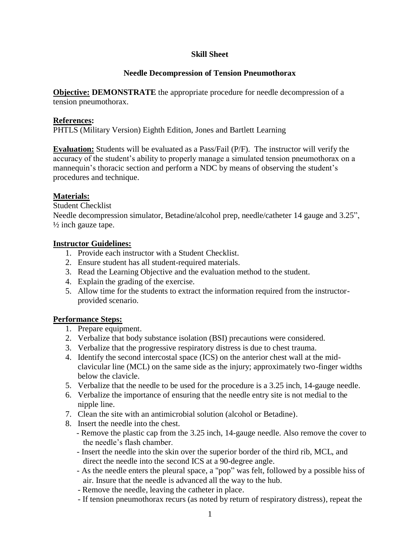# **Skill Sheet**

# **Needle Decompression of Tension Pneumothorax**

**Objective: DEMONSTRATE** the appropriate procedure for needle decompression of a tension pneumothorax.

## **References:**

PHTLS (Military Version) Eighth Edition, Jones and Bartlett Learning

**Evaluation:** Students will be evaluated as a Pass/Fail (P/F). The instructor will verify the accuracy of the student's ability to properly manage a simulated tension pneumothorax on a mannequin's thoracic section and perform a NDC by means of observing the student's procedures and technique.

## **Materials:**

Student Checklist

Needle decompression simulator, Betadine/alcohol prep, needle/catheter 14 gauge and 3.25", ½ inch gauze tape.

#### **Instructor Guidelines:**

- 1. Provide each instructor with a Student Checklist.
- 2. Ensure student has all student-required materials.
- 3. Read the Learning Objective and the evaluation method to the student.
- 4. Explain the grading of the exercise.
- 5. Allow time for the students to extract the information required from the instructorprovided scenario.

## **Performance Steps:**

- 1. Prepare equipment.
- 2. Verbalize that body substance isolation (BSI) precautions were considered.
- 3. Verbalize that the progressive respiratory distress is due to chest trauma.
- 4. Identify the second intercostal space (ICS) on the anterior chest wall at the midclavicular line (MCL) on the same side as the injury; approximately two-finger widths below the clavicle.
- 5. Verbalize that the needle to be used for the procedure is a 3.25 inch, 14-gauge needle.
- 6. Verbalize the importance of ensuring that the needle entry site is not medial to the nipple line.
- 7. Clean the site with an antimicrobial solution (alcohol or Betadine).
- 8. Insert the needle into the chest.
	- Remove the plastic cap from the 3.25 inch, 14-gauge needle. Also remove the cover to the needle's flash chamber.
	- Insert the needle into the skin over the superior border of the third rib, MCL, and direct the needle into the second ICS at a 90-degree angle.
	- As the needle enters the pleural space, a "pop" was felt, followed by a possible hiss of air. Insure that the needle is advanced all the way to the hub.
	- Remove the needle, leaving the catheter in place.
	- If tension pneumothorax recurs (as noted by return of respiratory distress), repeat the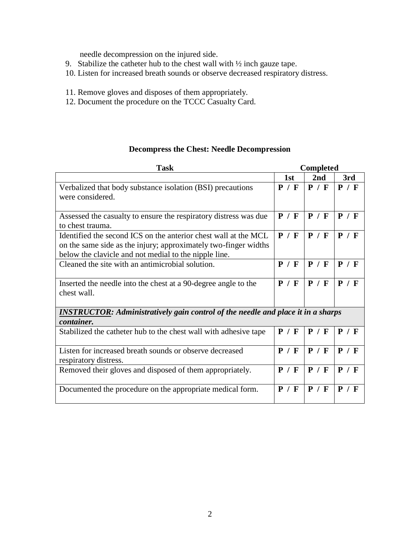needle decompression on the injured side.

- 9. Stabilize the catheter hub to the chest wall with ½ inch gauze tape.
- 10. Listen for increased breath sounds or observe decreased respiratory distress.
- 11. Remove gloves and disposes of them appropriately.
- 12. Document the procedure on the TCCC Casualty Card.

# **Decompress the Chest: Needle Decompression**

| <b>Task</b>                                                                                                                                                                                 | <b>Completed</b> |       |       |  |
|---------------------------------------------------------------------------------------------------------------------------------------------------------------------------------------------|------------------|-------|-------|--|
|                                                                                                                                                                                             | 1st              | 2nd   | 3rd   |  |
| Verbalized that body substance isolation (BSI) precautions<br>were considered.                                                                                                              | P / F            | P / F | P / F |  |
| Assessed the casualty to ensure the respiratory distress was due<br>to chest trauma.                                                                                                        | P / F            | P / F | P / F |  |
| Identified the second ICS on the anterior chest wall at the MCL<br>on the same side as the injury; approximately two-finger widths<br>below the clavicle and not medial to the nipple line. | P / F            | P / F | P / F |  |
| Cleaned the site with an antimicrobial solution.                                                                                                                                            | P / F            | P / F | P / F |  |
| Inserted the needle into the chest at a 90-degree angle to the<br>chest wall.                                                                                                               | P / F            | P / F | P / F |  |
| <b>INSTRUCTOR:</b> Administratively gain control of the needle and place it in a sharps<br>container.                                                                                       |                  |       |       |  |
| Stabilized the catheter hub to the chest wall with adhesive tape                                                                                                                            | P / F            | P / F | P / F |  |
| Listen for increased breath sounds or observe decreased<br>respiratory distress.                                                                                                            | P / F            | P / F | P / F |  |
| Removed their gloves and disposed of them appropriately.                                                                                                                                    | P / F            | P / F | P / F |  |
| Documented the procedure on the appropriate medical form.                                                                                                                                   | P / F            | P / F | P / F |  |